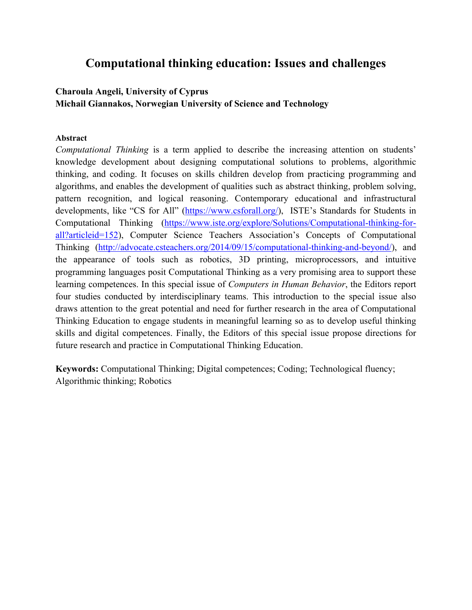# **Computational thinking education: Issues and challenges**

# **Charoula Angeli, University of Cyprus Michail Giannakos, Norwegian University of Science and Technology**

### **Abstract**

*Computational Thinking* is a term applied to describe the increasing attention on students' knowledge development about designing computational solutions to problems, algorithmic thinking, and coding. It focuses on skills children develop from practicing programming and algorithms, and enables the development of qualities such as abstract thinking, problem solving, pattern recognition, and logical reasoning. Contemporary educational and infrastructural developments, like "CS for All" (https://www.csforall.org/), ISTE's Standards for Students in Computational Thinking (https://www.iste.org/explore/Solutions/Computational-thinking-forall?articleid=152), Computer Science Teachers Association's Concepts of Computational Thinking (http://advocate.csteachers.org/2014/09/15/computational-thinking-and-beyond/), and the appearance of tools such as robotics, 3D printing, microprocessors, and intuitive programming languages posit Computational Thinking as a very promising area to support these learning competences. In this special issue of *Computers in Human Behavior*, the Editors report four studies conducted by interdisciplinary teams. This introduction to the special issue also draws attention to the great potential and need for further research in the area of Computational Thinking Education to engage students in meaningful learning so as to develop useful thinking skills and digital competences. Finally, the Editors of this special issue propose directions for future research and practice in Computational Thinking Education.

**Keywords:** Computational Thinking; Digital competences; Coding; Technological fluency; Algorithmic thinking; Robotics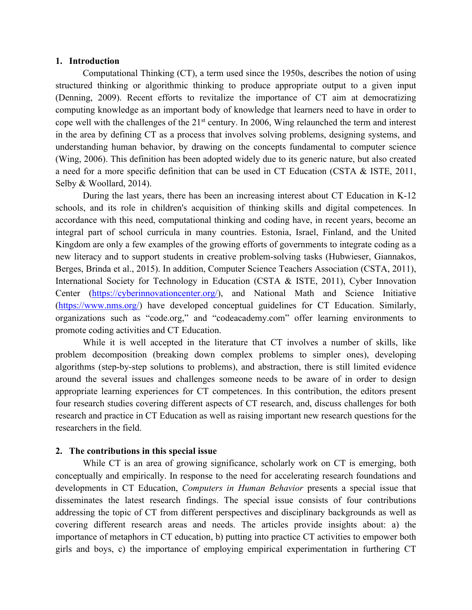### **1. Introduction**

Computational Thinking (CT), a term used since the 1950s, describes the notion of using structured thinking or algorithmic thinking to produce appropriate output to a given input (Denning, 2009). Recent efforts to revitalize the importance of CT aim at democratizing computing knowledge as an important body of knowledge that learners need to have in order to cope well with the challenges of the 21st century. In 2006, Wing relaunched the term and interest in the area by defining CT as a process that involves solving problems, designing systems, and understanding human behavior, by drawing on the concepts fundamental to computer science (Wing, 2006). This definition has been adopted widely due to its generic nature, but also created a need for a more specific definition that can be used in CT Education (CSTA & ISTE, 2011, Selby & Woollard, 2014).

During the last years, there has been an increasing interest about CT Education in K-12 schools, and its role in children's acquisition of thinking skills and digital competences. In accordance with this need, computational thinking and coding have, in recent years, become an integral part of school curricula in many countries. Estonia, Israel, Finland, and the United Kingdom are only a few examples of the growing efforts of governments to integrate coding as a new literacy and to support students in creative problem-solving tasks (Hubwieser, Giannakos, Berges, Brinda et al., 2015). In addition, Computer Science Teachers Association (CSTA, 2011), International Society for Technology in Education (CSTA & ISTE, 2011), Cyber Innovation Center (https://cyberinnovationcenter.org/), and National Math and Science Initiative (https://www.nms.org/) have developed conceptual guidelines for CT Education. Similarly, organizations such as "code.org," and "codeacademy.com" offer learning environments to promote coding activities and CT Education.

While it is well accepted in the literature that CT involves a number of skills, like problem decomposition (breaking down complex problems to simpler ones), developing algorithms (step-by-step solutions to problems), and abstraction, there is still limited evidence around the several issues and challenges someone needs to be aware of in order to design appropriate learning experiences for CT competences. In this contribution, the editors present four research studies covering different aspects of CT research, and, discuss challenges for both research and practice in CT Education as well as raising important new research questions for the researchers in the field.

### **2. The contributions in this special issue**

While CT is an area of growing significance, scholarly work on CT is emerging, both conceptually and empirically. In response to the need for accelerating research foundations and developments in CT Education, *Computers in Human Behavior* presents a special issue that disseminates the latest research findings. The special issue consists of four contributions addressing the topic of CT from different perspectives and disciplinary backgrounds as well as covering different research areas and needs. The articles provide insights about: a) the importance of metaphors in CT education, b) putting into practice CT activities to empower both girls and boys, c) the importance of employing empirical experimentation in furthering CT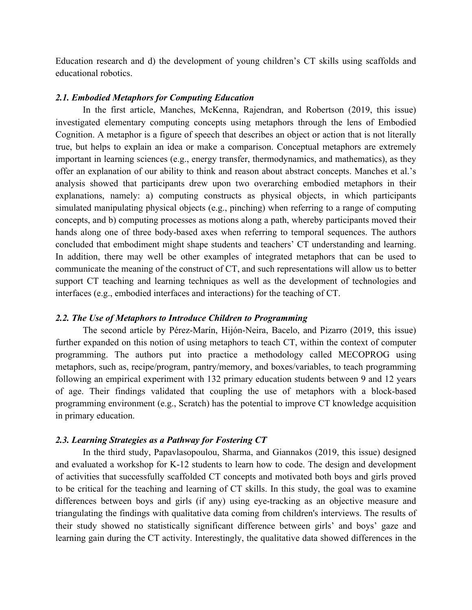Education research and d) the development of young children's CT skills using scaffolds and educational robotics.

### *2.1. Embodied Metaphors for Computing Education*

In the first article, Manches, McKenna, Rajendran, and Robertson (2019, this issue) investigated elementary computing concepts using metaphors through the lens of Embodied Cognition. A metaphor is a figure of speech that describes an object or action that is not literally true, but helps to explain an idea or make a comparison. Conceptual metaphors are extremely important in learning sciences (e.g., energy transfer, thermodynamics, and mathematics), as they offer an explanation of our ability to think and reason about abstract concepts. Manches et al.'s analysis showed that participants drew upon two overarching embodied metaphors in their explanations, namely: a) computing constructs as physical objects, in which participants simulated manipulating physical objects (e.g., pinching) when referring to a range of computing concepts, and b) computing processes as motions along a path, whereby participants moved their hands along one of three body-based axes when referring to temporal sequences. The authors concluded that embodiment might shape students and teachers' CT understanding and learning. In addition, there may well be other examples of integrated metaphors that can be used to communicate the meaning of the construct of CT, and such representations will allow us to better support CT teaching and learning techniques as well as the development of technologies and interfaces (e.g., embodied interfaces and interactions) for the teaching of CT.

### *2.2. The Use of Metaphors to Introduce Children to Programming*

The second article by Pérez-Marín, Hijón-Neira, Bacelo, and Pizarro (2019, this issue) further expanded on this notion of using metaphors to teach CT, within the context of computer programming. The authors put into practice a methodology called MECOPROG using metaphors, such as, recipe/program, pantry/memory, and boxes/variables, to teach programming following an empirical experiment with 132 primary education students between 9 and 12 years of age. Their findings validated that coupling the use of metaphors with a block-based programming environment (e.g., Scratch) has the potential to improve CT knowledge acquisition in primary education.

#### *2.3. Learning Strategies as a Pathway for Fostering CT*

In the third study, Papavlasopoulou, Sharma, and Giannakos (2019, this issue) designed and evaluated a workshop for K-12 students to learn how to code. The design and development of activities that successfully scaffolded CT concepts and motivated both boys and girls proved to be critical for the teaching and learning of CT skills. In this study, the goal was to examine differences between boys and girls (if any) using eye-tracking as an objective measure and triangulating the findings with qualitative data coming from children's interviews. The results of their study showed no statistically significant difference between girls' and boys' gaze and learning gain during the CT activity. Interestingly, the qualitative data showed differences in the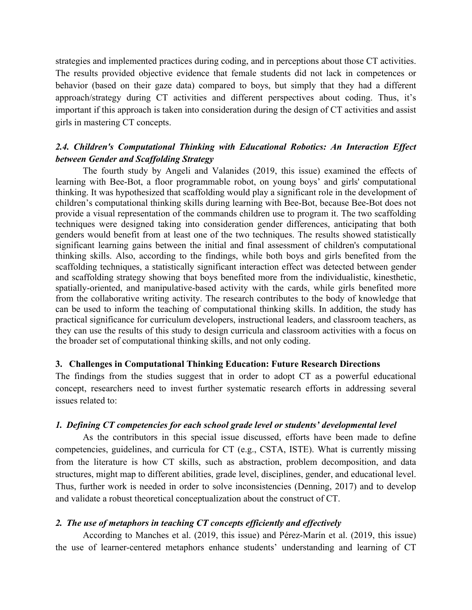strategies and implemented practices during coding, and in perceptions about those CT activities. The results provided objective evidence that female students did not lack in competences or behavior (based on their gaze data) compared to boys, but simply that they had a different approach/strategy during CT activities and different perspectives about coding. Thus, it's important if this approach is taken into consideration during the design of CT activities and assist girls in mastering CT concepts.

### *2.4. Children's Computational Thinking with Educational Robotics: An Interaction Effect between Gender and Scaffolding Strategy*

The fourth study by Angeli and Valanides (2019, this issue) examined the effects of learning with Bee-Bot, a floor programmable robot, on young boys' and girls' computational thinking. It was hypothesized that scaffolding would play a significant role in the development of children's computational thinking skills during learning with Bee-Bot, because Bee-Bot does not provide a visual representation of the commands children use to program it. The two scaffolding techniques were designed taking into consideration gender differences, anticipating that both genders would benefit from at least one of the two techniques. The results showed statistically significant learning gains between the initial and final assessment of children's computational thinking skills. Also, according to the findings, while both boys and girls benefited from the scaffolding techniques, a statistically significant interaction effect was detected between gender and scaffolding strategy showing that boys benefited more from the individualistic, kinesthetic, spatially-oriented, and manipulative-based activity with the cards, while girls benefited more from the collaborative writing activity. The research contributes to the body of knowledge that can be used to inform the teaching of computational thinking skills. In addition, the study has practical significance for curriculum developers, instructional leaders, and classroom teachers, as they can use the results of this study to design curricula and classroom activities with a focus on the broader set of computational thinking skills, and not only coding.

### **3. Challenges in Computational Thinking Education: Future Research Directions**

The findings from the studies suggest that in order to adopt CT as a powerful educational concept, researchers need to invest further systematic research efforts in addressing several issues related to:

### *1. Defining CT competencies for each school grade level or students' developmental level*

As the contributors in this special issue discussed, efforts have been made to define competencies, guidelines, and curricula for CT (e.g., CSTA, ISTE). What is currently missing from the literature is how CT skills, such as abstraction, problem decomposition, and data structures, might map to different abilities, grade level, disciplines, gender, and educational level. Thus, further work is needed in order to solve inconsistencies (Denning, 2017) and to develop and validate a robust theoretical conceptualization about the construct of CT.

### *2. The use of metaphors in teaching CT concepts efficiently and effectively*

According to Manches et al. (2019, this issue) and Pérez-Marín et al. (2019, this issue) the use of learner-centered metaphors enhance students' understanding and learning of CT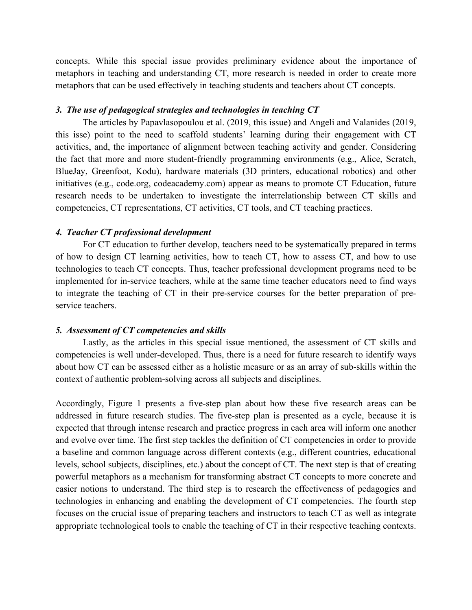concepts. While this special issue provides preliminary evidence about the importance of metaphors in teaching and understanding CT, more research is needed in order to create more metaphors that can be used effectively in teaching students and teachers about CT concepts.

### *3. The use of pedagogical strategies and technologies in teaching CT*

The articles by Papavlasopoulou et al. (2019, this issue) and Angeli and Valanides (2019, this isse) point to the need to scaffold students' learning during their engagement with CT activities, and, the importance of alignment between teaching activity and gender. Considering the fact that more and more student-friendly programming environments (e.g., Alice, Scratch, BlueJay, Greenfoot, Kodu), hardware materials (3D printers, educational robotics) and other initiatives (e.g., code.org, codeacademy.com) appear as means to promote CT Education, future research needs to be undertaken to investigate the interrelationship between CT skills and competencies, CT representations, CT activities, CT tools, and CT teaching practices.

#### *4. Teacher CT professional development*

For CT education to further develop, teachers need to be systematically prepared in terms of how to design CT learning activities, how to teach CT, how to assess CT, and how to use technologies to teach CT concepts. Thus, teacher professional development programs need to be implemented for in-service teachers, while at the same time teacher educators need to find ways to integrate the teaching of CT in their pre-service courses for the better preparation of preservice teachers.

### *5. Assessment of CT competencies and skills*

Lastly, as the articles in this special issue mentioned, the assessment of CT skills and competencies is well under-developed. Thus, there is a need for future research to identify ways about how CT can be assessed either as a holistic measure or as an array of sub-skills within the context of authentic problem-solving across all subjects and disciplines.

Accordingly, Figure 1 presents a five-step plan about how these five research areas can be addressed in future research studies. The five-step plan is presented as a cycle, because it is expected that through intense research and practice progress in each area will inform one another and evolve over time. The first step tackles the definition of CT competencies in order to provide a baseline and common language across different contexts (e.g., different countries, educational levels, school subjects, disciplines, etc.) about the concept of CT. The next step is that of creating powerful metaphors as a mechanism for transforming abstract CT concepts to more concrete and easier notions to understand. The third step is to research the effectiveness of pedagogies and technologies in enhancing and enabling the development of CT competencies. The fourth step focuses on the crucial issue of preparing teachers and instructors to teach CT as well as integrate appropriate technological tools to enable the teaching of CT in their respective teaching contexts.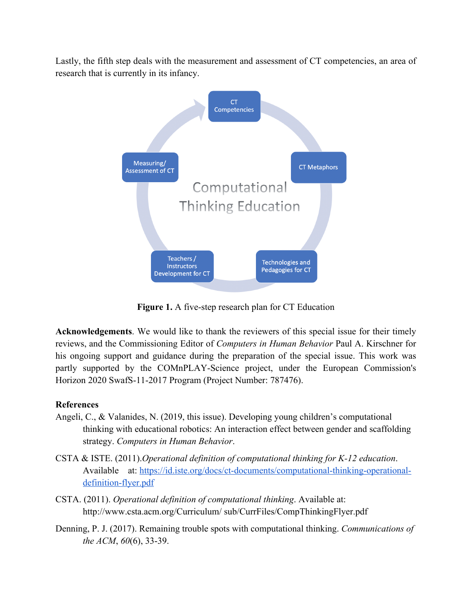Lastly, the fifth step deals with the measurement and assessment of CT competencies, an area of research that is currently in its infancy.



**Figure 1.** A five-step research plan for CT Education

**Acknowledgements**. We would like to thank the reviewers of this special issue for their timely reviews, and the Commissioning Editor of *Computers in Human Behavior* Paul A. Kirschner for his ongoing support and guidance during the preparation of the special issue. This work was partly supported by the COMnPLAY-Science project, under the European Commission's Horizon 2020 SwafS-11-2017 Program (Project Number: 787476).

## **References**

- Angeli, C., & Valanides, N. (2019, this issue). Developing young children's computational thinking with educational robotics: An interaction effect between gender and scaffolding strategy. *Computers in Human Behavior*.
- CSTA & ISTE. (2011).*Operational definition of computational thinking for K-12 education*. Available at: https://id.iste.org/docs/ct-documents/computational-thinking-operationaldefinition-flyer.pdf
- CSTA. (2011). *Operational definition of computational thinking*. Available at: http://www.csta.acm.org/Curriculum/ sub/CurrFiles/CompThinkingFlyer.pdf
- Denning, P. J. (2017). Remaining trouble spots with computational thinking. *Communications of the ACM*, *60*(6), 33-39.